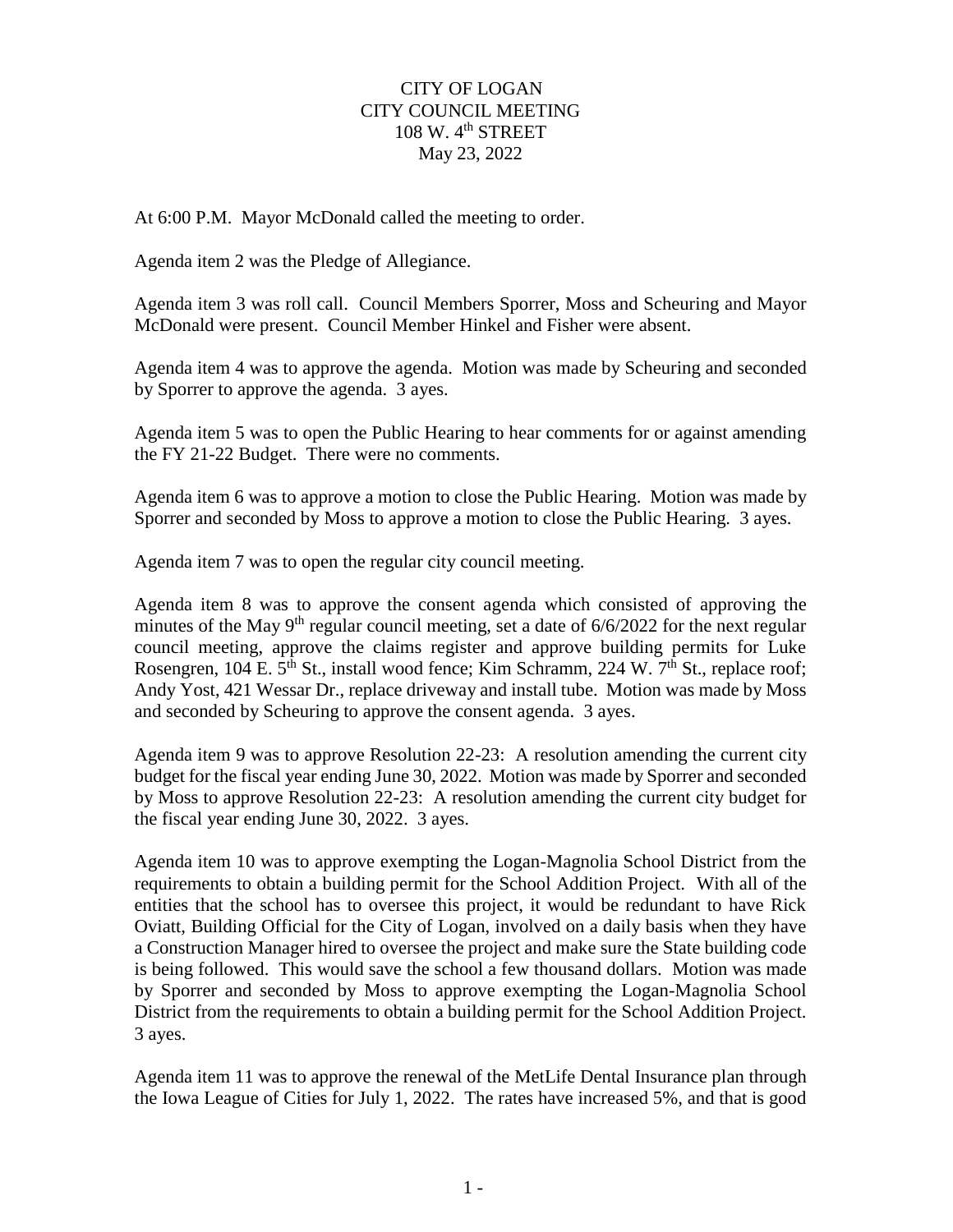## CITY OF LOGAN CITY COUNCIL MEETING 108 W. 4<sup>th</sup> STREET May 23, 2022

At 6:00 P.M. Mayor McDonald called the meeting to order.

Agenda item 2 was the Pledge of Allegiance.

Agenda item 3 was roll call. Council Members Sporrer, Moss and Scheuring and Mayor McDonald were present. Council Member Hinkel and Fisher were absent.

Agenda item 4 was to approve the agenda. Motion was made by Scheuring and seconded by Sporrer to approve the agenda. 3 ayes.

Agenda item 5 was to open the Public Hearing to hear comments for or against amending the FY 21-22 Budget. There were no comments.

Agenda item 6 was to approve a motion to close the Public Hearing. Motion was made by Sporrer and seconded by Moss to approve a motion to close the Public Hearing. 3 ayes.

Agenda item 7 was to open the regular city council meeting.

Agenda item 8 was to approve the consent agenda which consisted of approving the minutes of the May 9<sup>th</sup> regular council meeting, set a date of  $6/6/2022$  for the next regular council meeting, approve the claims register and approve building permits for Luke Rosengren, 104 E. 5<sup>th</sup> St., install wood fence; Kim Schramm, 224 W. 7<sup>th</sup> St., replace roof; Andy Yost, 421 Wessar Dr., replace driveway and install tube. Motion was made by Moss and seconded by Scheuring to approve the consent agenda. 3 ayes.

Agenda item 9 was to approve Resolution 22-23: A resolution amending the current city budget for the fiscal year ending June 30, 2022. Motion was made by Sporrer and seconded by Moss to approve Resolution 22-23: A resolution amending the current city budget for the fiscal year ending June 30, 2022. 3 ayes.

Agenda item 10 was to approve exempting the Logan-Magnolia School District from the requirements to obtain a building permit for the School Addition Project. With all of the entities that the school has to oversee this project, it would be redundant to have Rick Oviatt, Building Official for the City of Logan, involved on a daily basis when they have a Construction Manager hired to oversee the project and make sure the State building code is being followed. This would save the school a few thousand dollars. Motion was made by Sporrer and seconded by Moss to approve exempting the Logan-Magnolia School District from the requirements to obtain a building permit for the School Addition Project. 3 ayes.

Agenda item 11 was to approve the renewal of the MetLife Dental Insurance plan through the Iowa League of Cities for July 1, 2022. The rates have increased 5%, and that is good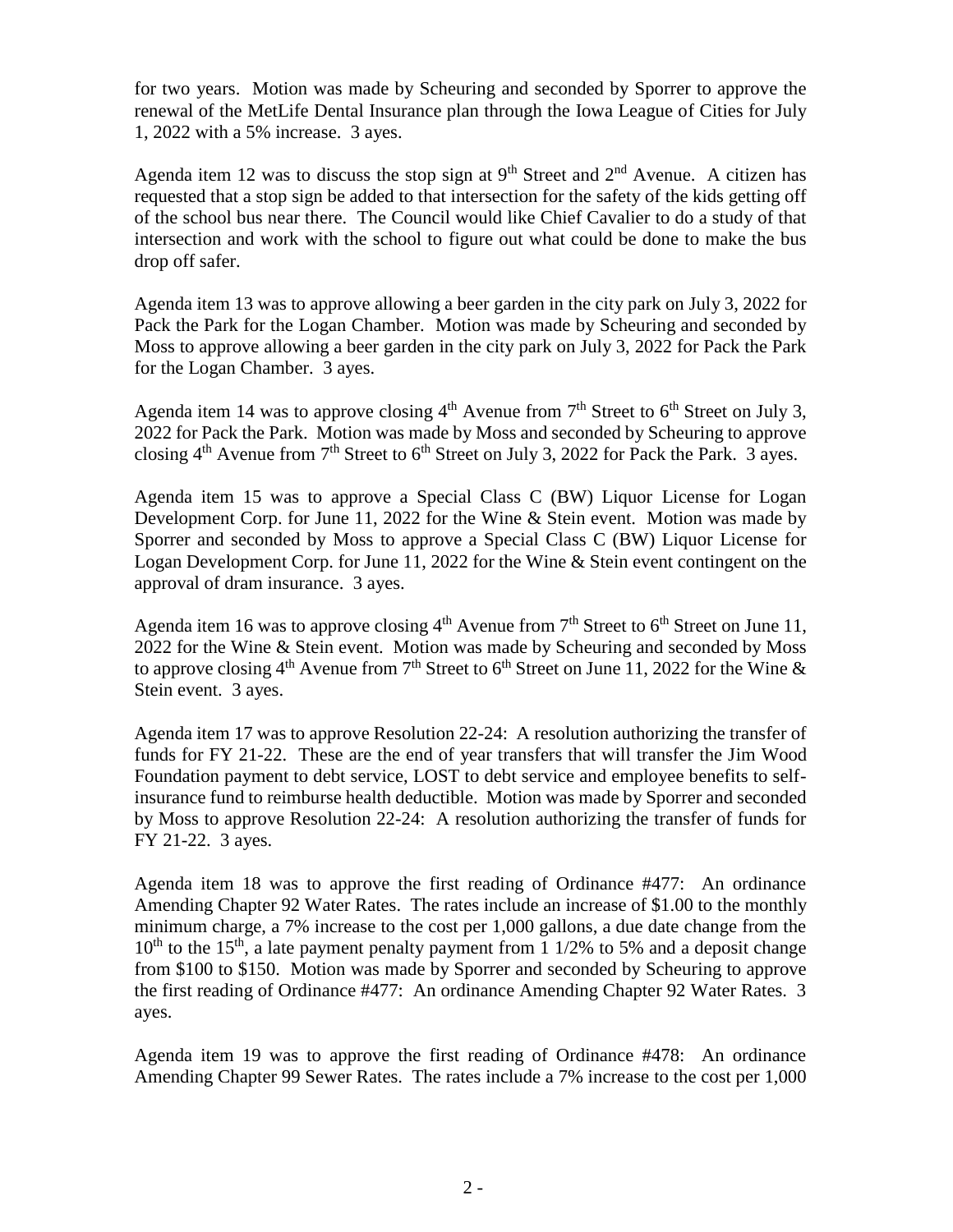for two years. Motion was made by Scheuring and seconded by Sporrer to approve the renewal of the MetLife Dental Insurance plan through the Iowa League of Cities for July 1, 2022 with a 5% increase. 3 ayes.

Agenda item 12 was to discuss the stop sign at  $9<sup>th</sup>$  Street and  $2<sup>nd</sup>$  Avenue. A citizen has requested that a stop sign be added to that intersection for the safety of the kids getting off of the school bus near there. The Council would like Chief Cavalier to do a study of that intersection and work with the school to figure out what could be done to make the bus drop off safer.

Agenda item 13 was to approve allowing a beer garden in the city park on July 3, 2022 for Pack the Park for the Logan Chamber. Motion was made by Scheuring and seconded by Moss to approve allowing a beer garden in the city park on July 3, 2022 for Pack the Park for the Logan Chamber. 3 ayes.

Agenda item 14 was to approve closing  $4<sup>th</sup>$  Avenue from  $7<sup>th</sup>$  Street to  $6<sup>th</sup>$  Street on July 3, 2022 for Pack the Park. Motion was made by Moss and seconded by Scheuring to approve closing  $4<sup>th</sup>$  Avenue from  $7<sup>th</sup>$  Street to  $6<sup>th</sup>$  Street on July 3, 2022 for Pack the Park. 3 ayes.

Agenda item 15 was to approve a Special Class C (BW) Liquor License for Logan Development Corp. for June 11, 2022 for the Wine & Stein event. Motion was made by Sporrer and seconded by Moss to approve a Special Class C (BW) Liquor License for Logan Development Corp. for June 11, 2022 for the Wine & Stein event contingent on the approval of dram insurance. 3 ayes.

Agenda item 16 was to approve closing  $4<sup>th</sup>$  Avenue from  $7<sup>th</sup>$  Street to  $6<sup>th</sup>$  Street on June 11, 2022 for the Wine & Stein event. Motion was made by Scheuring and seconded by Moss to approve closing 4<sup>th</sup> Avenue from 7<sup>th</sup> Street to 6<sup>th</sup> Street on June 11, 2022 for the Wine & Stein event. 3 ayes.

Agenda item 17 was to approve Resolution 22-24: A resolution authorizing the transfer of funds for FY 21-22. These are the end of year transfers that will transfer the Jim Wood Foundation payment to debt service, LOST to debt service and employee benefits to selfinsurance fund to reimburse health deductible. Motion was made by Sporrer and seconded by Moss to approve Resolution 22-24: A resolution authorizing the transfer of funds for FY 21-22. 3 ayes.

Agenda item 18 was to approve the first reading of Ordinance #477: An ordinance Amending Chapter 92 Water Rates. The rates include an increase of \$1.00 to the monthly minimum charge, a 7% increase to the cost per 1,000 gallons, a due date change from the  $10^{th}$  to the 15<sup>th</sup>, a late payment penalty payment from 1 1/2% to 5% and a deposit change from \$100 to \$150. Motion was made by Sporrer and seconded by Scheuring to approve the first reading of Ordinance #477: An ordinance Amending Chapter 92 Water Rates. 3 ayes.

Agenda item 19 was to approve the first reading of Ordinance #478: An ordinance Amending Chapter 99 Sewer Rates. The rates include a 7% increase to the cost per 1,000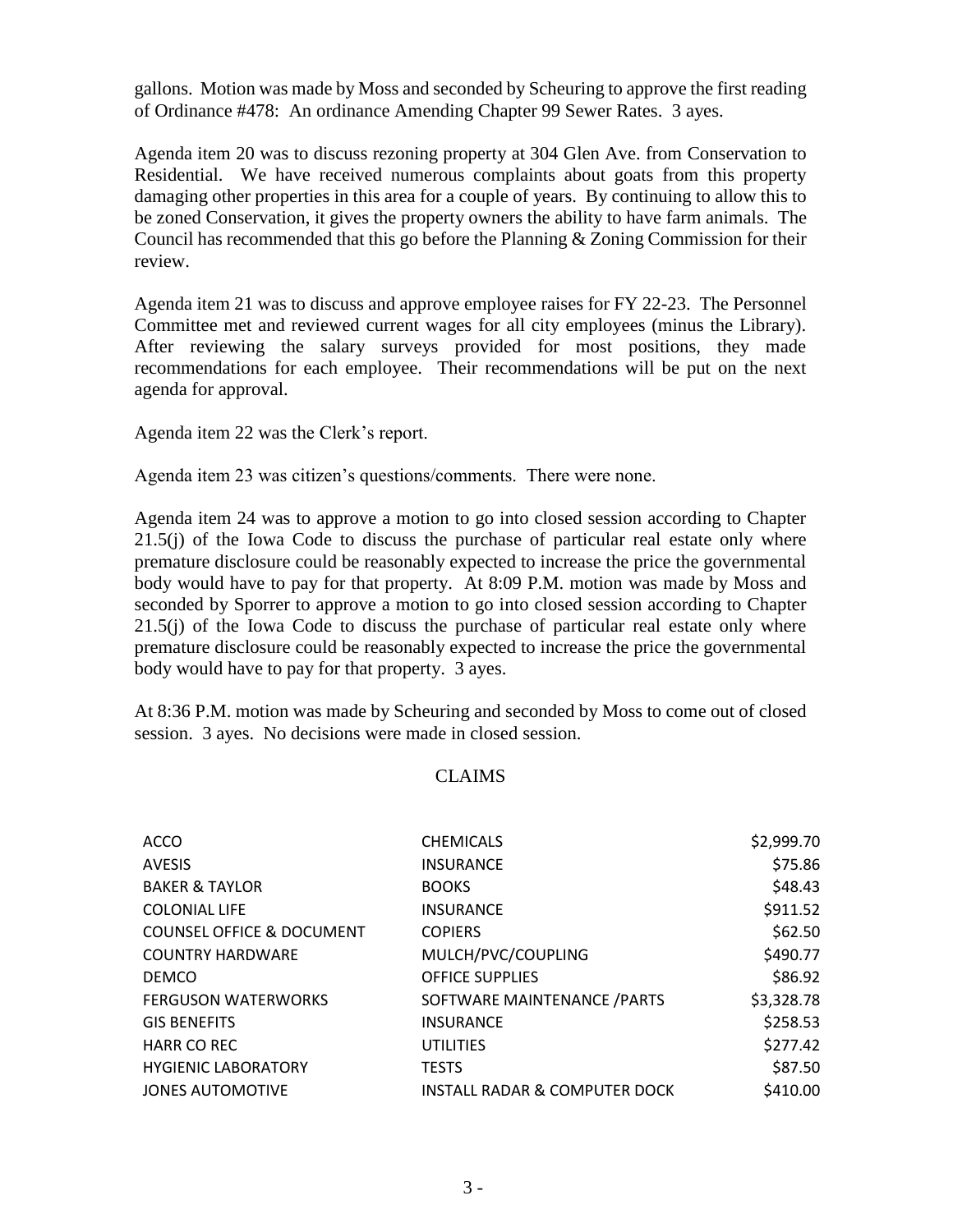gallons. Motion was made by Moss and seconded by Scheuring to approve the first reading of Ordinance #478: An ordinance Amending Chapter 99 Sewer Rates. 3 ayes.

Agenda item 20 was to discuss rezoning property at 304 Glen Ave. from Conservation to Residential. We have received numerous complaints about goats from this property damaging other properties in this area for a couple of years. By continuing to allow this to be zoned Conservation, it gives the property owners the ability to have farm animals. The Council has recommended that this go before the Planning & Zoning Commission for their review.

Agenda item 21 was to discuss and approve employee raises for FY 22-23. The Personnel Committee met and reviewed current wages for all city employees (minus the Library). After reviewing the salary surveys provided for most positions, they made recommendations for each employee. Their recommendations will be put on the next agenda for approval.

Agenda item 22 was the Clerk's report.

Agenda item 23 was citizen's questions/comments. There were none.

Agenda item 24 was to approve a motion to go into closed session according to Chapter 21.5(j) of the Iowa Code to discuss the purchase of particular real estate only where premature disclosure could be reasonably expected to increase the price the governmental body would have to pay for that property. At 8:09 P.M. motion was made by Moss and seconded by Sporrer to approve a motion to go into closed session according to Chapter 21.5(j) of the Iowa Code to discuss the purchase of particular real estate only where premature disclosure could be reasonably expected to increase the price the governmental body would have to pay for that property. 3 ayes.

At 8:36 P.M. motion was made by Scheuring and seconded by Moss to come out of closed session. 3 ayes. No decisions were made in closed session.

## CLAIMS

| <b>ACCO</b>                          | <b>CHEMICALS</b>                         | \$2,999.70 |
|--------------------------------------|------------------------------------------|------------|
| <b>AVESIS</b>                        | <b>INSURANCE</b>                         | \$75.86    |
| <b>BAKER &amp; TAYLOR</b>            | <b>BOOKS</b>                             | \$48.43    |
| <b>COLONIAL LIFE</b>                 | <b>INSURANCE</b>                         | \$911.52   |
| <b>COUNSEL OFFICE &amp; DOCUMENT</b> | <b>COPIERS</b>                           | \$62.50    |
| <b>COUNTRY HARDWARE</b>              | MULCH/PVC/COUPLING                       | \$490.77   |
| <b>DEMCO</b>                         | <b>OFFICE SUPPLIES</b>                   | \$86.92    |
| <b>FERGUSON WATERWORKS</b>           | SOFTWARE MAINTENANCE / PARTS             | \$3,328.78 |
| <b>GIS BENEFITS</b>                  | <b>INSURANCE</b>                         | \$258.53   |
| <b>HARR CO REC</b>                   | UTILITIES                                | \$277.42   |
| <b>HYGIENIC LABORATORY</b>           | <b>TESTS</b>                             | \$87.50    |
| <b>JONES AUTOMOTIVE</b>              | <b>INSTALL RADAR &amp; COMPUTER DOCK</b> | \$410.00   |